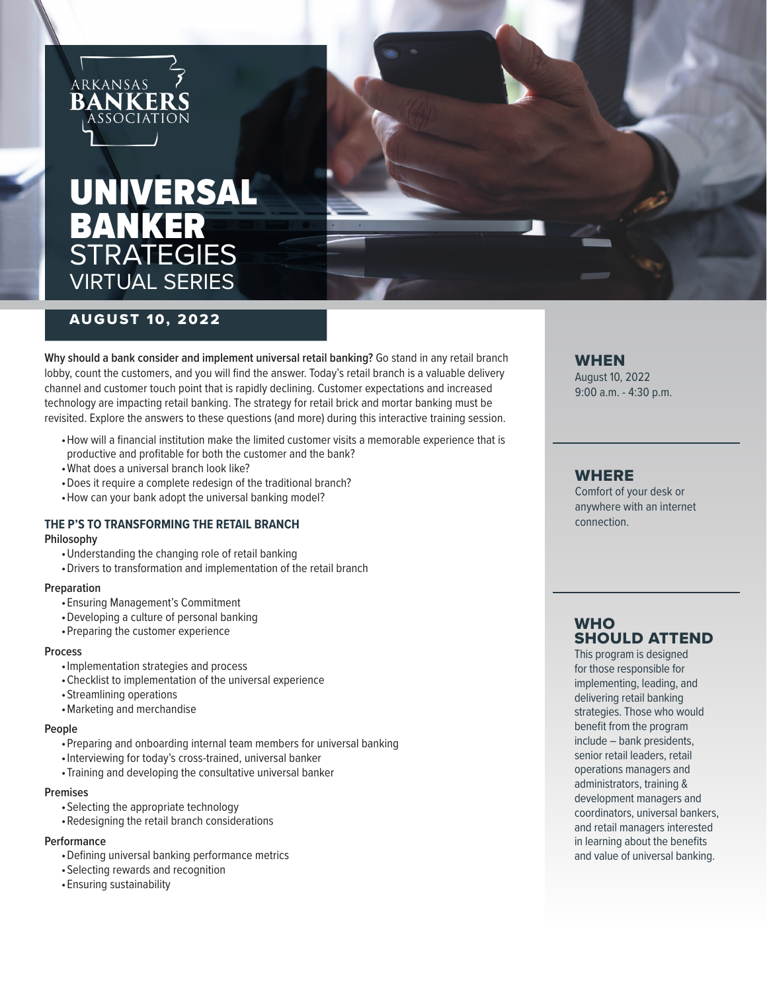

# UNIVERSAL BANKER STRATEGIES VIRTUAL SERIES



# AUGUST 10, 2022

**Why should a bank consider and implement universal retail banking?** Go stand in any retail branch lobby, count the customers, and you will find the answer. Today's retail branch is a valuable delivery channel and customer touch point that is rapidly declining. Customer expectations and increased technology are impacting retail banking. The strategy for retail brick and mortar banking must be revisited. Explore the answers to these questions (and more) during this interactive training session.

- •How will a financial institution make the limited customer visits a memorable experience that is productive and profitable for both the customer and the bank?
- •What does a universal branch look like?
- •Does it require a complete redesign of the traditional branch?
- •How can your bank adopt the universal banking model?

#### **THE P'S TO TRANSFORMING THE RETAIL BRANCH**

#### **Philosophy**

- •Understanding the changing role of retail banking
- •Drivers to transformation and implementation of the retail branch

#### **Preparation**

- •Ensuring Management's Commitment
- •Developing a culture of personal banking
- •Preparing the customer experience

#### **Process**

- •Implementation strategies and process
- •Checklist to implementation of the universal experience
- •Streamlining operations
- •Marketing and merchandise

#### **People**

- •Preparing and onboarding internal team members for universal banking
- •Interviewing for today's cross-trained, universal banker
- •Training and developing the consultative universal banker

#### **Premises**

- •Selecting the appropriate technology
- •Redesigning the retail branch considerations

#### **Performance**

- •Defining universal banking performance metrics
- •Selecting rewards and recognition
- •Ensuring sustainability

#### WHEN

August 10, 2022 9:00 a.m. - 4:30 p.m.

### WHERE

Comfort of your desk or anywhere with an internet connection.

## **WHO** SHOULD ATTEND

This program is designed for those responsible for implementing, leading, and delivering retail banking strategies. Those who would benefit from the program include – bank presidents, senior retail leaders, retail operations managers and administrators, training & development managers and coordinators, universal bankers, and retail managers interested in learning about the benefits and value of universal banking.